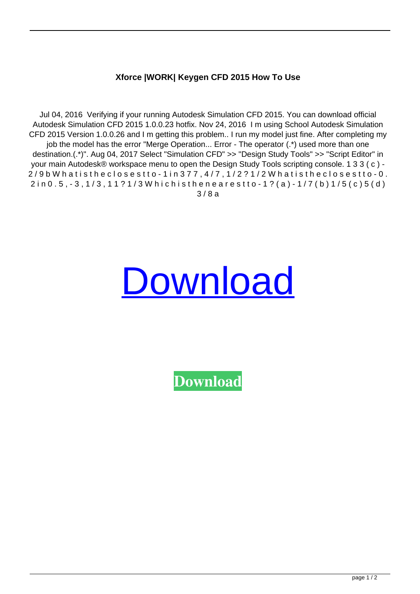## **Xforce |WORK| Keygen CFD 2015 How To Use**

Jul 04, 2016 Verifying if your running Autodesk Simulation CFD 2015. You can download official Autodesk Simulation CFD 2015 1.0.0.23 hotfix. Nov 24, 2016 I m using School Autodesk Simulation CFD 2015 Version 1.0.0.26 and I m getting this problem.. I run my model just fine. After completing my job the model has the error "Merge Operation... Error - The operator (.\*) used more than one destination.(.\*)". Aug 04, 2017 Select "Simulation CFD" >> "Design Study Tools" >> "Script Editor" in your main Autodesk® workspace menu to open the Design Study Tools scripting console. 1 3 3 ( c ) -  $2/9$  b W hat is the close st to - 1 in  $377$ ,  $4/7$ ,  $1/2$ ?  $1/2$  W hat is the close st to - 0.  $2$  in 0 . 5 ,  $-3$  ,  $1/3$  ,  $11$  ?  $1/3$  W hichisthenearestto  $-1$  ? (a)  $-1/7$  (b)  $1/5$  (c)  $5$  (d) 3 / 8 a

## [Download](http://evacdir.com/matured/fodder/hydroponic/eyries/kaaton/ladge/ZG93bmxvYWR8RUg2YmpKNWZId3hOalV6TURnME1UVTBmSHd5TlRjMGZId29UU2tnY21WaFpDMWliRzluSUZ0R1lYTjBJRWRGVGww.powerpc.WGZvcmNlIEtleWdlbiBDRkQgMjAxNSBIb3cgVG8gVXNlWGZ)

**[Download](http://evacdir.com/matured/fodder/hydroponic/eyries/kaaton/ladge/ZG93bmxvYWR8RUg2YmpKNWZId3hOalV6TURnME1UVTBmSHd5TlRjMGZId29UU2tnY21WaFpDMWliRzluSUZ0R1lYTjBJRWRGVGww.powerpc.WGZvcmNlIEtleWdlbiBDRkQgMjAxNSBIb3cgVG8gVXNlWGZ)**